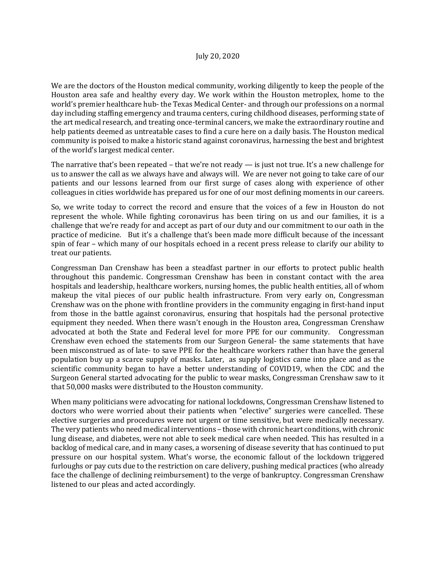We are the doctors of the Houston medical community, working diligently to keep the people of the Houston area safe and healthy every day. We work within the Houston metroplex, home to the world's premier healthcare hub- the Texas Medical Center- and through our professions on a normal day including staffing emergency and trauma centers, curing childhood diseases, performing state of the art medical research, and treating once-terminal cancers, we make the extraordinary routine and help patients deemed as untreatable cases to find a cure here on a daily basis. The Houston medical community is poised to make a historic stand against coronavirus, harnessing the best and brightest of the world's largest medical center.

The narrative that's been repeated – that we're not ready  $-$  is just not true. It's a new challenge for us to answer the call as we always have and always will. We are never not going to take care of our patients and our lessons learned from our first surge of cases along with experience of other colleagues in cities worldwide has prepared us for one of our most defining moments in our careers.

So, we write today to correct the record and ensure that the voices of a few in Houston do not represent the whole. While fighting coronavirus has been tiring on us and our families, it is a challenge that we're ready for and accept as part of our duty and our commitment to our oath in the practice of medicine. But it's a challenge that's been made more difficult because of the incessant spin of fear – which many of our hospitals echoed in a recent press release to clarify our ability to treat our patients.

Congressman Dan Crenshaw has been a steadfast partner in our efforts to protect public health throughout this pandemic. Congressman Crenshaw has been in constant contact with the area hospitals and leadership, healthcare workers, nursing homes, the public health entities, all of whom makeup the vital pieces of our public health infrastructure. From very early on, Congressman Crenshaw was on the phone with frontline providers in the community engaging in first-hand input from those in the battle against coronavirus, ensuring that hospitals had the personal protective equipment they needed. When there wasn't enough in the Houston area, Congressman Crenshaw advocated at both the State and Federal level for more PPE for our community. Congressman Crenshaw even echoed the statements from our Surgeon General- the same statements that have been misconstrued as of late- to save PPE for the healthcare workers rather than have the general population buy up a scarce supply of masks. Later, as supply logistics came into place and as the scientific community began to have a better understanding of COVID19, when the CDC and the Surgeon General started advocating for the public to wear masks, Congressman Crenshaw saw to it that 50,000 masks were distributed to the Houston community.

When many politicians were advocating for national lockdowns, Congressman Crenshaw listened to doctors who were worried about their patients when "elective" surgeries were cancelled. These elective surgeries and procedures were not urgent or time sensitive, but were medically necessary. The very patients who need medical interventions – those with chronic heart conditions, with chronic lung disease, and diabetes, were not able to seek medical care when needed. This has resulted in a backlog of medical care, and in many cases, a worsening of disease severity that has continued to put pressure on our hospital system. What's worse, the economic fallout of the lockdown triggered furloughs or pay cuts due to the restriction on care delivery, pushing medical practices (who already face the challenge of declining reimbursement) to the verge of bankruptcy. Congressman Crenshaw listened to our pleas and acted accordingly.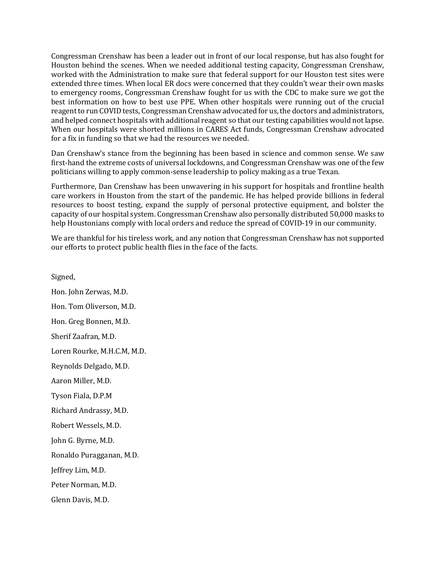Congressman Crenshaw has been a leader out in front of our local response, but has also fought for Houston behind the scenes. When we needed additional testing capacity, Congressman Crenshaw, worked with the Administration to make sure that federal support for our Houston test sites were extended three times. When local ER docs were concerned that they couldn't wear their own masks to emergency rooms, Congressman Crenshaw fought for us with the CDC to make sure we got the best information on how to best use PPE. When other hospitals were running out of the crucial reagent to run COVID tests, Congressman Crenshaw advocated for us, the doctors and administrators, and helped connect hospitals with additional reagent so that our testing capabilities would not lapse. When our hospitals were shorted millions in CARES Act funds, Congressman Crenshaw advocated for a fix in funding so that we had the resources we needed.

Dan Crenshaw's stance from the beginning has been based in science and common sense. We saw first-hand the extreme costs of universal lockdowns, and Congressman Crenshaw was one of the few politicians willing to apply common-sense leadership to policy making as a true Texan.

Furthermore, Dan Crenshaw has been unwavering in his support for hospitals and frontline health care workers in Houston from the start of the pandemic. He has helped provide billions in federal resources to boost testing, expand the supply of personal protective equipment, and bolster the capacity of our hospital system. Congressman Crenshaw also personally distributed 50,000 masks to help Houstonians comply with local orders and reduce the spread of COVID-19 in our community.

We are thankful for his tireless work, and any notion that Congressman Crenshaw has not supported our efforts to protect public health flies in the face of the facts.

Signed, Hon. John Zerwas, M.D. Hon. Tom Oliverson, M.D. Hon. Greg Bonnen, M.D. Sherif Zaafran, M.D. Loren Rourke, M.H.C.M, M.D. Reynolds Delgado, M.D. Aaron Miller, M.D. Tyson Fiala, D.P.M Richard Andrassy, M.D. Robert Wessels, M.D. John G. Byrne, M.D. Ronaldo Puragganan, M.D. Jeffrey Lim, M.D. Peter Norman, M.D. Glenn Davis, M.D.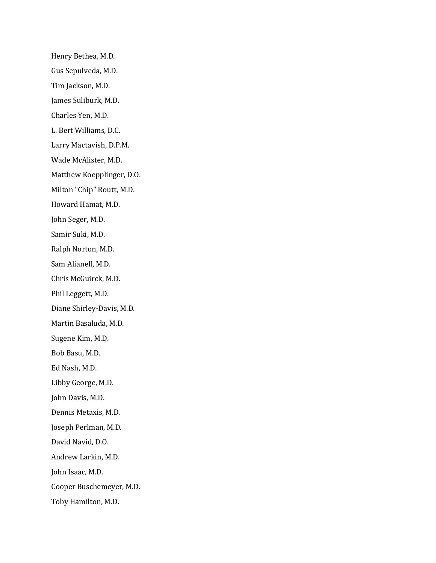Henry Bethea, M.D. Gus Sepulveda, M.D. Tim Jackson, M.D. James Suliburk, M.D. Charles Yen, M.D. L. Bert Williams, D.C. Larry Mactavish, D.P.M. Wade McAlister, M.D. Matthew Koepplinger, D.O. Milton "Chip" Routt, M.D. Howard Hamat, M.D. John Seger, M.D. Samir Suki, M.D. Ralph Norton, M.D. Sam Alianell, M.D. Chris McGuirck, M.D. Phil Leggett, M.D. Diane Shirley-Davis, M.D. Martin Basaluda, M.D. Sugene Kim, M.D. Bob Basu, M.D. Ed Nash, M.D. Libby George, M.D. John Davis, M.D. Dennis Metaxis, M.D. Joseph Perlman, M.D. David Navid, D.O. Andrew Larkin, M.D. John Isaac, M.D. Cooper Buschemeyer, M.D. Toby Hamilton, M.D.